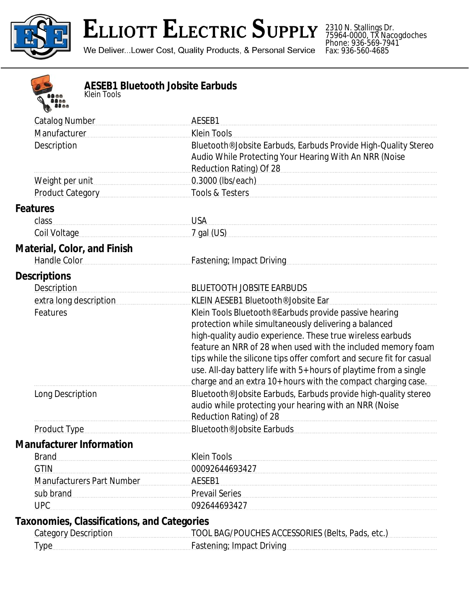

# **ELLIOTT ELECTRIC SUPPLY**

We Deliver...Lower Cost, Quality Products, & Personal Service

2310 N. Stallings Dr. 75964-0000, TX Nacogdoches Phone: 936-569-7941 Fax: 936-560-4685



#### **AESEB1 Bluetooth Jobsite Earbuds** *Klein Tools*

| $\rightarrow$                      |                                                                                                                                                                                                                                                           |
|------------------------------------|-----------------------------------------------------------------------------------------------------------------------------------------------------------------------------------------------------------------------------------------------------------|
| <b>Catalog Number</b>              | AESEB1                                                                                                                                                                                                                                                    |
| Manufacturer                       | <b>Klein Tools</b>                                                                                                                                                                                                                                        |
| Description                        | Bluetooth <sup>®</sup> Jobsite Earbuds, Earbuds Provide High-Quality Stereo<br>Audio While Protecting Your Hearing With An NRR (Noise<br>Reduction Rating) Of 28                                                                                          |
| Weight per unit                    | 0.3000 (lbs/each)                                                                                                                                                                                                                                         |
| Product Category                   | Tools & Testers                                                                                                                                                                                                                                           |
| <b>Features</b>                    |                                                                                                                                                                                                                                                           |
| class                              | <b>USA</b>                                                                                                                                                                                                                                                |
| Coil Voltage                       | $7$ gal (US)                                                                                                                                                                                                                                              |
| <b>Material, Color, and Finish</b> |                                                                                                                                                                                                                                                           |
| Handle Color                       | Fastening: Impact Driving                                                                                                                                                                                                                                 |
| <b>Descriptions</b>                |                                                                                                                                                                                                                                                           |
| Description                        | <b>BLUETOOTH JOBSITE EARBUDS</b>                                                                                                                                                                                                                          |
| extra long description             | KLEIN AESEB1 Bluetooth <sup>®</sup> Jobsite Ear                                                                                                                                                                                                           |
| Features                           | Klein Tools Bluetooth <sup>®</sup> Earbuds provide passive hearing<br>protection while simultaneously delivering a balanced<br>high-quality audio experience. These true wireless earbuds<br>feature an NRR of 28 when used with the included memory foam |
|                                    | tips while the silicone tips offer comfort and secure fit for casual<br>use. All-day battery life with 5+ hours of playtime from a single<br>charge and an extra 10+ hours with the compact charging case.                                                |
| Long Description                   | Bluetooth <sup>®</sup> Jobsite Earbuds, Earbuds provide high-quality stereo<br>audio while protecting your hearing with an NRR (Noise<br>Reduction Rating) of 28                                                                                          |
| <b>Product Type</b>                | Bluetooth <sup>®</sup> Jobsite Earbuds                                                                                                                                                                                                                    |
| <b>Manufacturer Information</b>    |                                                                                                                                                                                                                                                           |
| <b>Brand</b>                       | <b>Klein Tools</b>                                                                                                                                                                                                                                        |
| <b>GTIN</b>                        | 00092644693427                                                                                                                                                                                                                                            |
| <b>Manufacturers Part Number</b>   | AESEB1                                                                                                                                                                                                                                                    |
| sub brand                          | <b>Prevail Series</b>                                                                                                                                                                                                                                     |

### **Taxonomies, Classifications, and Categories**

UPC 092644693427

| <b>Category Description</b> | TOOL BAG/POUCHES ACCESSORIES (Belts, Pads, etc.) |
|-----------------------------|--------------------------------------------------|
| Type                        | <b>Fastening: Impact Driving</b>                 |